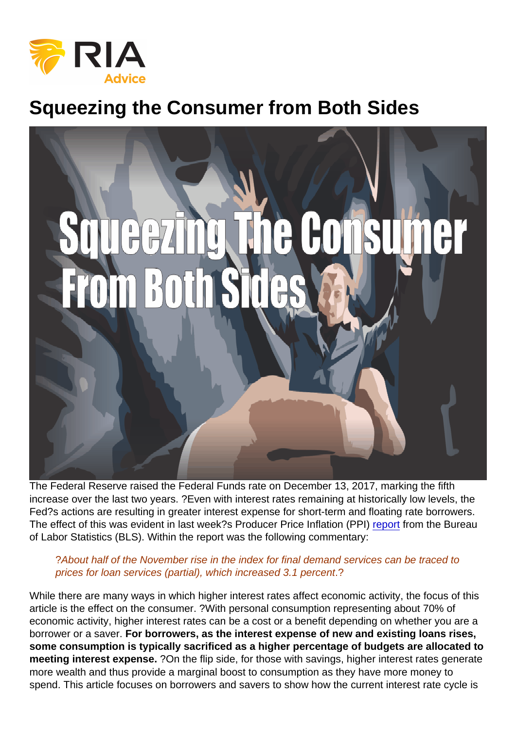## Squeezing the Consumer from Both Sides

The Federal Reserve raised the Federal Funds rate on December 13, 2017, marking the fifth increase over the last two years. ?Even with interest rates remaining at historically low levels, the Fed?s actions are resulting in greater interest expense for short-term and floating rate borrowers. The effect of this was evident in last week?s Producer Price Inflation (PPI) [report](https://www.bls.gov/news.release/pdf/ppi.pdf) from the Bureau of Labor Statistics (BLS). Within the report was the following commentary:

?About half of the November rise in the index for final demand services can be traced to prices for loan services (partial), which increased 3.1 percent.?

While there are many ways in which higher interest rates affect economic activity, the focus of this article is the effect on the consumer. ?With personal consumption representing about 70% of economic activity, higher interest rates can be a cost or a benefit depending on whether you are a borrower or a saver. For borrowers, as the interest expense of new and existing loans rises, some consumption is typically sacrificed as a higher percentage of budgets are allocated to meeting interest expense. ?On the flip side, for those with savings, higher interest rates generate more wealth and thus provide a marginal boost to consumption as they have more money to spend. This article focuses on borrowers and savers to show how the current interest rate cycle is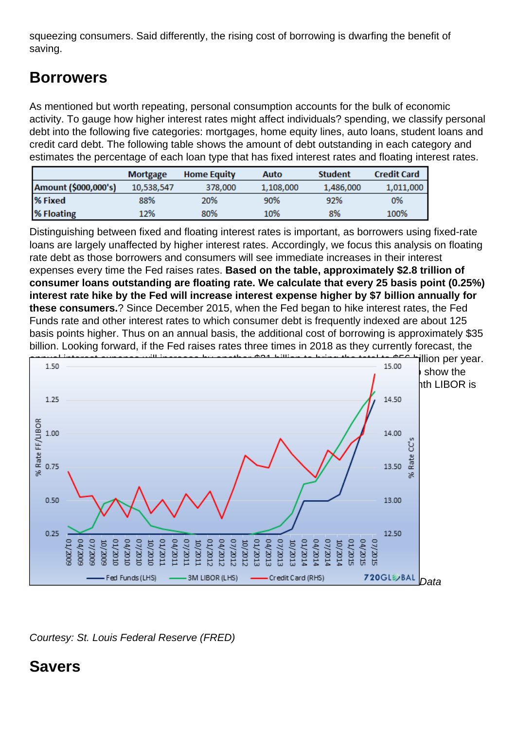squeezing consumers. Said differently, the rising cost of borrowing is dwarfing the benefit of saving.

## Borrowers

As mentioned but worth repeating, personal consumption accounts for the bulk of economic activity. To gauge how higher interest rates might affect individuals? spending, we classify personal debt into the following five categories: mortgages, home equity lines, auto loans, student loans and credit card debt. The following table shows the amount of debt outstanding in each category and estimates the percentage of each loan type that has fixed interest rates and floating interest rates.

Distinguishing between fixed and floating interest rates is important, as borrowers using fixed-rate loans are largely unaffected by higher interest rates. Accordingly, we focus this analysis on floating rate debt as those borrowers and consumers will see immediate increases in their interest expenses every time the Fed raises rates. Based on the table, approximately \$2.8 trillion of consumer loans outstanding are floating rate. We calculate that every 25 basis point (0.25%) interest rate hike by the Fed will increase interest expense higher by \$7 billion annually for these consumers. ? Since December 2015, when the Fed began to hike interest rates, the Fed Funds rate and other interest rates to which consumer debt is frequently indexed are about 125 basis points higher. Thus on an annual basis, the additional cost of borrowing is approximately \$35 billion. Looking forward, if the Fed raises rates three times in 2018 as they currently forecast, the annual interest expense will increase by another \$21 billion to bring the total to \$56 billion per year. [The graph below charts Fed Funds, 3-month LIBOR, and average credit card rates to](https://realinvestmentadvice.com/wp-content/uploads/2017/12/2-borrowing-rates.png) show the nearly perfect correlation between Fed actions and short-term borrowing rates. 3-month LIBOR is the index most frequently used to determine floating rate interest rates.

Data

Courtesy: St. Louis Federal Reserve (FRED)

Savers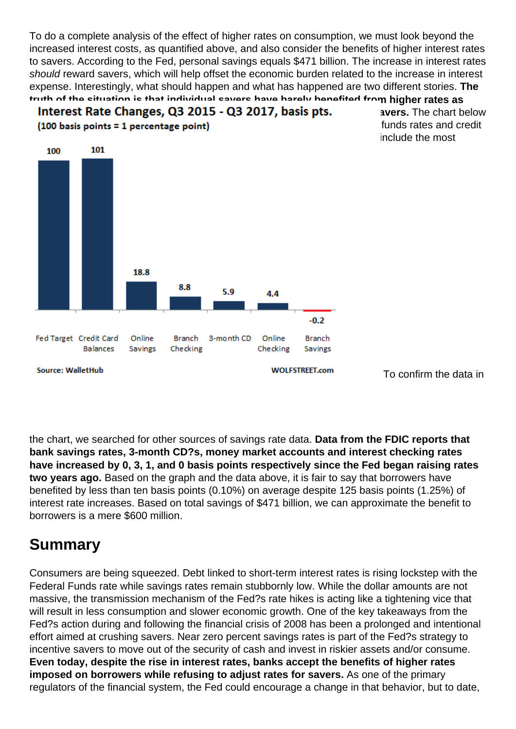To do a complete analysis of the effect of higher rates on consumption, we must look beyond the increased interest costs, as quantified above, and also consider the benefits of higher interest rates to savers. According to the Fed, personal savings equals \$471 billion. The increase in interest rates should reward savers, which will help offset the economic burden related to the increase in interest expense. Interestingly, what should happen and what has happened are two different stories. The truth of the situation is that individual savers have barely benefited from higher rates as [banks and financial intermediaries are not passing on higher rates to savers.](https://realinvestmentadvice.com/wp-content/uploads/2017/12/3-savings-rates.png) The chart below provided by WalletHub and Wolfstreet.com compares the change in the Fed funds rates and credit card interest rates to instruments of savings. Please note the table does not include the most recent increase in rates on December 13, 2017.

To confirm the data in

the chart, we searched for other sources of savings rate data. Data from the FDIC reports that bank savings rates, 3-month CD?s, money market accounts and interest checking rates have increased by 0, 3, 1, and 0 basis points respectively since the Fed began raising rates two years ago. Based on the graph and the data above, it is fair to say that borrowers have benefited by less than ten basis points (0.10%) on average despite 125 basis points (1.25%) of interest rate increases. Based on total savings of \$471 billion, we can approximate the benefit to borrowers is a mere \$600 million.

## Summary

Consumers are being squeezed. Debt linked to short-term interest rates is rising lockstep with the Federal Funds rate while savings rates remain stubbornly low. While the dollar amounts are not massive, the transmission mechanism of the Fed?s rate hikes is acting like a tightening vice that will result in less consumption and slower economic growth. One of the key takeaways from the Fed?s action during and following the financial crisis of 2008 has been a prolonged and intentional effort aimed at crushing savers. Near zero percent savings rates is part of the Fed?s strategy to incentive savers to move out of the security of cash and invest in riskier assets and/or consume. Even today, despite the rise in interest rates, banks accept the benefits of higher rates imposed on borrowers while refusing to adjust rates for savers. As one of the primary regulators of the financial system, the Fed could encourage a change in that behavior, but to date,